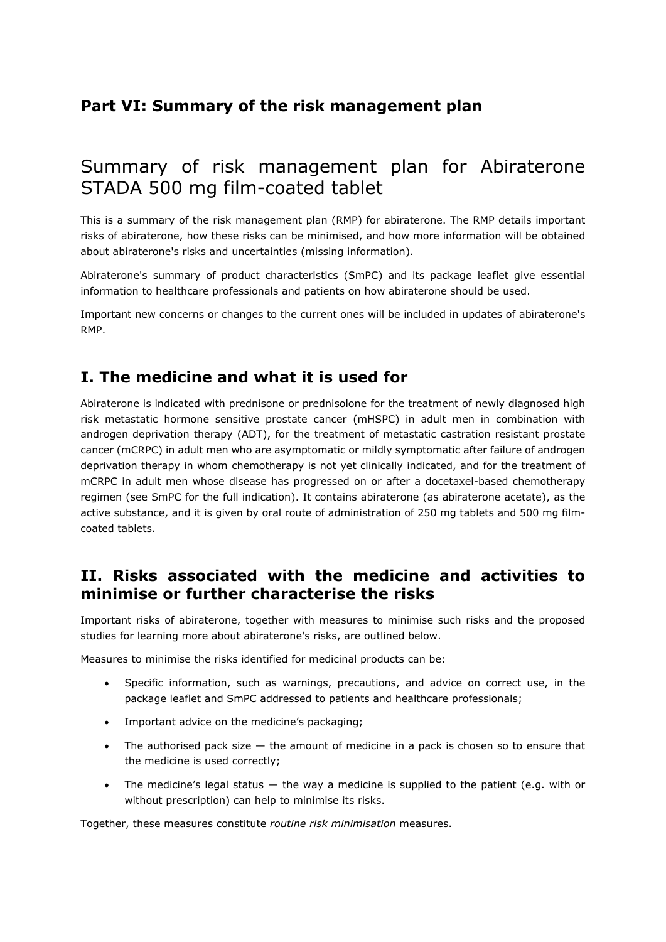## **Part VI: Summary of the risk management plan**

# Summary of risk management plan for Abiraterone STADA 500 mg film-coated tablet

This is a summary of the risk management plan (RMP) for abiraterone. The RMP details important risks of abiraterone, how these risks can be minimised, and how more information will be obtained about abiraterone's risks and uncertainties (missing information).

Abiraterone's summary of product characteristics (SmPC) and its package leaflet give essential information to healthcare professionals and patients on how abiraterone should be used.

Important new concerns or changes to the current ones will be included in updates of abiraterone's RMP.

## **I. The medicine and what it is used for**

Abiraterone is indicated with prednisone or prednisolone for the treatment of newly diagnosed high risk metastatic hormone sensitive prostate cancer (mHSPC) in adult men in combination with androgen deprivation therapy (ADT), for the treatment of metastatic castration resistant prostate cancer (mCRPC) in adult men who are asymptomatic or mildly symptomatic after failure of androgen deprivation therapy in whom chemotherapy is not yet clinically indicated, and for the treatment of mCRPC in adult men whose disease has progressed on or after a docetaxel-based chemotherapy regimen (see SmPC for the full indication). It contains abiraterone (as abiraterone acetate), as the active substance, and it is given by oral route of administration of 250 mg tablets and 500 mg filmcoated tablets.

### **II. Risks associated with the medicine and activities to minimise or further characterise the risks**

Important risks of abiraterone, together with measures to minimise such risks and the proposed studies for learning more about abiraterone's risks, are outlined below.

Measures to minimise the risks identified for medicinal products can be:

- Specific information, such as warnings, precautions, and advice on correct use, in the package leaflet and SmPC addressed to patients and healthcare professionals;
- Important advice on the medicine's packaging;
- The authorised pack size the amount of medicine in a pack is chosen so to ensure that the medicine is used correctly;
- The medicine's legal status the way a medicine is supplied to the patient (e.g. with or without prescription) can help to minimise its risks.

Together, these measures constitute *routine risk minimisation* measures.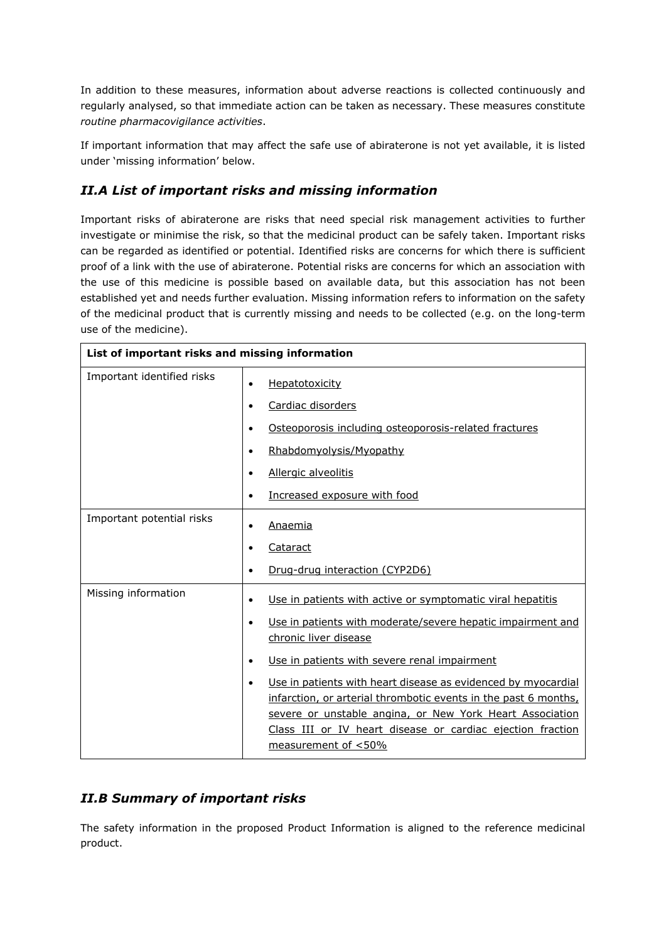In addition to these measures, information about adverse reactions is collected continuously and regularly analysed, so that immediate action can be taken as necessary. These measures constitute *routine pharmacovigilance activities*.

If important information that may affect the safe use of abiraterone is not yet available, it is listed under 'missing information' below.

#### *II.A List of important risks and missing information*

Important risks of abiraterone are risks that need special risk management activities to further investigate or minimise the risk, so that the medicinal product can be safely taken. Important risks can be regarded as identified or potential. Identified risks are concerns for which there is sufficient proof of a link with the use of abiraterone. Potential risks are concerns for which an association with the use of this medicine is possible based on available data, but this association has not been established yet and needs further evaluation. Missing information refers to information on the safety of the medicinal product that is currently missing and needs to be collected (e.g. on the long-term use of the medicine).

| List of important risks and missing information |                                                                                                                                                                                                                                                                                                |
|-------------------------------------------------|------------------------------------------------------------------------------------------------------------------------------------------------------------------------------------------------------------------------------------------------------------------------------------------------|
| Important identified risks                      | Hepatotoxicity<br>$\bullet$                                                                                                                                                                                                                                                                    |
|                                                 | Cardiac disorders<br>$\bullet$                                                                                                                                                                                                                                                                 |
|                                                 | Osteoporosis including osteoporosis-related fractures<br>٠                                                                                                                                                                                                                                     |
|                                                 | Rhabdomyolysis/Myopathy<br>$\bullet$                                                                                                                                                                                                                                                           |
|                                                 | Allergic alveolitis<br>$\bullet$                                                                                                                                                                                                                                                               |
|                                                 | Increased exposure with food<br>$\bullet$                                                                                                                                                                                                                                                      |
| Important potential risks                       | Anaemia                                                                                                                                                                                                                                                                                        |
|                                                 | Cataract                                                                                                                                                                                                                                                                                       |
|                                                 | Drug-drug interaction (CYP2D6)<br>٠                                                                                                                                                                                                                                                            |
| Missing information                             | Use in patients with active or symptomatic viral hepatitis<br>٠                                                                                                                                                                                                                                |
|                                                 | Use in patients with moderate/severe hepatic impairment and<br>$\bullet$<br>chronic liver disease                                                                                                                                                                                              |
|                                                 | Use in patients with severe renal impairment<br>$\bullet$                                                                                                                                                                                                                                      |
|                                                 | Use in patients with heart disease as evidenced by myocardial<br>$\bullet$<br>infarction, or arterial thrombotic events in the past 6 months,<br>severe or unstable angina, or New York Heart Association<br>Class III or IV heart disease or cardiac ejection fraction<br>measurement of <50% |

#### *II.B Summary of important risks*

The safety information in the proposed Product Information is aligned to the reference medicinal product.